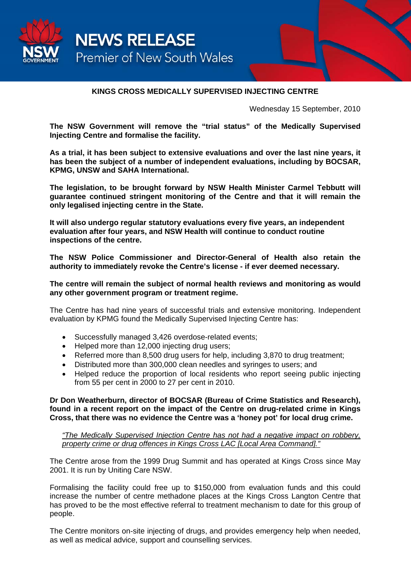

## **KINGS CROSS MEDICALLY SUPERVISED INJECTING CENTRE**

Wednesday 15 September, 2010

**The NSW Government will remove the "trial status" of the Medically Supervised Injecting Centre and formalise the facility.** 

**As a trial, it has been subject to extensive evaluations and over the last nine years, it has been the subject of a number of independent evaluations, including by BOCSAR, KPMG, UNSW and SAHA International.** 

**The legislation, to be brought forward by NSW Health Minister Carmel Tebbutt will guarantee continued stringent monitoring of the Centre and that it will remain the only legalised injecting centre in the State.** 

**It will also undergo regular statutory evaluations every five years, an independent evaluation after four years, and NSW Health will continue to conduct routine inspections of the centre.** 

**The NSW Police Commissioner and Director-General of Health also retain the authority to immediately revoke the Centre's license - if ever deemed necessary.** 

**The centre will remain the subject of normal health reviews and monitoring as would any other government program or treatment regime.** 

The Centre has had nine years of successful trials and extensive monitoring. Independent evaluation by KPMG found the Medically Supervised Injecting Centre has:

- Successfully managed 3,426 overdose-related events;
- Helped more than 12,000 injecting drug users;

**NEWS RELEASE** 

Premier of New South Wales

- Referred more than 8,500 drug users for help, including 3,870 to drug treatment;
- Distributed more than 300,000 clean needles and syringes to users; and
- Helped reduce the proportion of local residents who report seeing public injecting from 55 per cent in 2000 to 27 per cent in 2010.

**Dr Don Weatherburn, director of BOCSAR (Bureau of Crime Statistics and Research), found in a recent report on the impact of the Centre on drug-related crime in Kings Cross, that there was no evidence the Centre was a 'honey pot' for local drug crime.** 

*"The Medically Supervised Injection Centre has not had a negative impact on robbery, property crime or drug offences in Kings Cross LAC [Local Area Command]."*

The Centre arose from the 1999 Drug Summit and has operated at Kings Cross since May 2001. It is run by Uniting Care NSW.

Formalising the facility could free up to \$150,000 from evaluation funds and this could increase the number of centre methadone places at the Kings Cross Langton Centre that has proved to be the most effective referral to treatment mechanism to date for this group of people.

The Centre monitors on-site injecting of drugs, and provides emergency help when needed, as well as medical advice, support and counselling services.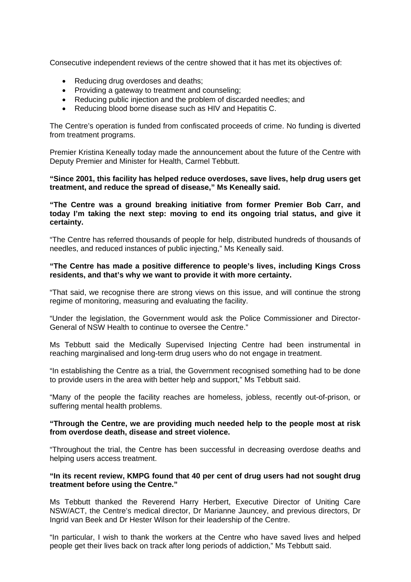Consecutive independent reviews of the centre showed that it has met its objectives of:

- Reducing drug overdoses and deaths;
- Providing a gateway to treatment and counseling;
- Reducing public injection and the problem of discarded needles; and
- Reducing blood borne disease such as HIV and Hepatitis C.

The Centre's operation is funded from confiscated proceeds of crime. No funding is diverted from treatment programs.

Premier Kristina Keneally today made the announcement about the future of the Centre with Deputy Premier and Minister for Health, Carmel Tebbutt.

### **"Since 2001, this facility has helped reduce overdoses, save lives, help drug users get treatment, and reduce the spread of disease," Ms Keneally said.**

## **"The Centre was a ground breaking initiative from former Premier Bob Carr, and today I'm taking the next step: moving to end its ongoing trial status, and give it certainty.**

"The Centre has referred thousands of people for help, distributed hundreds of thousands of needles, and reduced instances of public injecting," Ms Keneally said.

### **"The Centre has made a positive difference to people's lives, including Kings Cross residents, and that's why we want to provide it with more certainty.**

"That said, we recognise there are strong views on this issue, and will continue the strong regime of monitoring, measuring and evaluating the facility.

"Under the legislation, the Government would ask the Police Commissioner and Director-General of NSW Health to continue to oversee the Centre."

Ms Tebbutt said the Medically Supervised Injecting Centre had been instrumental in reaching marginalised and long-term drug users who do not engage in treatment.

"In establishing the Centre as a trial, the Government recognised something had to be done to provide users in the area with better help and support," Ms Tebbutt said.

"Many of the people the facility reaches are homeless, jobless, recently out-of-prison, or suffering mental health problems.

#### **"Through the Centre, we are providing much needed help to the people most at risk from overdose death, disease and street violence.**

"Throughout the trial, the Centre has been successful in decreasing overdose deaths and helping users access treatment.

## **"In its recent review, KMPG found that 40 per cent of drug users had not sought drug treatment before using the Centre."**

Ms Tebbutt thanked the Reverend Harry Herbert, Executive Director of Uniting Care NSW/ACT, the Centre's medical director, Dr Marianne Jauncey, and previous directors, Dr Ingrid van Beek and Dr Hester Wilson for their leadership of the Centre.

"In particular, I wish to thank the workers at the Centre who have saved lives and helped people get their lives back on track after long periods of addiction," Ms Tebbutt said.